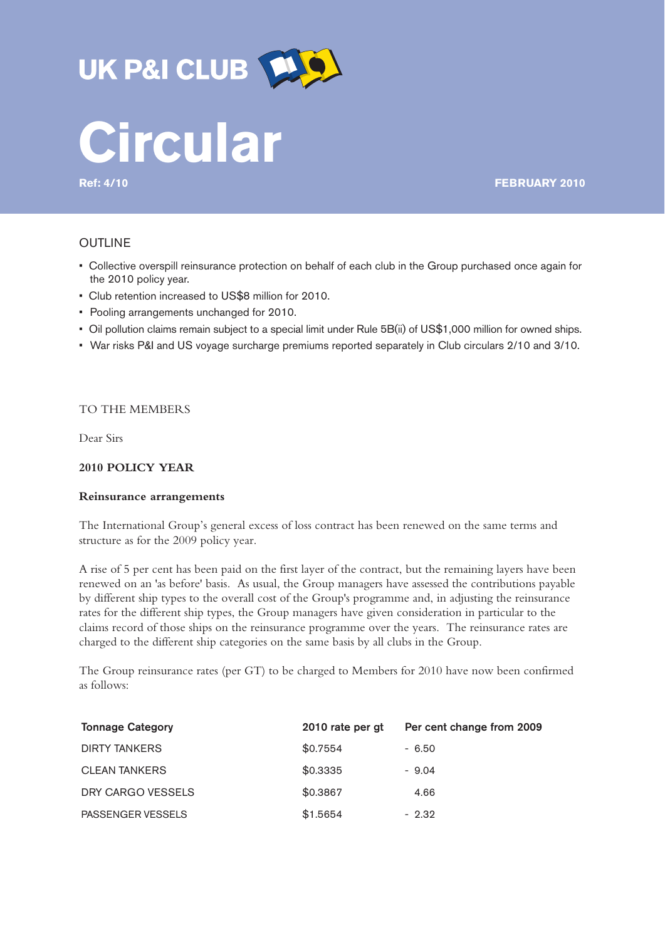

# UK P&I CLUB **[45]**

**Ref: 4/10 FEBRUARY 2010**

# OUTLINE

- Collective overspill reinsurance protection on behalf of each club in the Group purchased once again for the 2010 policy year.
- Club retention increased to US\$8 million for 2010.
- Pooling arrangements unchanged for 2010.
- Oil pollution claims remain subject to a special limit under Rule 5B(ii) of US\$1,000 million for owned ships.
- War risks P&I and US voyage surcharge premiums reported separately in Club circulars 2/10 and 3/10.

# TO THE MEMBERS

Dear Sirs

# **2010 POLICY YEAR**

# **Reinsurance arrangements**

The International Group's general excess of loss contract has been renewed on the same terms and structure as for the 2009 policy year.

A rise of 5 per cent has been paid on the first layer of the contract, but the remaining layers have been renewed on an 'as before' basis. As usual, the Group managers have assessed the contributions payable by different ship types to the overall cost of the Group's programme and, in adjusting the reinsurance rates for the different ship types, the Group managers have given consideration in particular to the claims record of those ships on the reinsurance programme over the years. The reinsurance rates are charged to the different ship categories on the same basis by all clubs in the Group.

The Group reinsurance rates (per GT) to be charged to Members for 2010 have now been confirmed as follows:

| <b>Tonnage Category</b> | 2010 rate per gt | Per cent change from 2009 |
|-------------------------|------------------|---------------------------|
| <b>DIRTY TANKERS</b>    | \$0.7554         | $-6.50$                   |
| <b>CLEAN TANKERS</b>    | \$0.3335         | $-9.04$                   |
| DRY CARGO VESSELS       | \$0.3867         | 4.66                      |
| PASSENGER VESSELS       | \$1,5654         | $-2.32$                   |